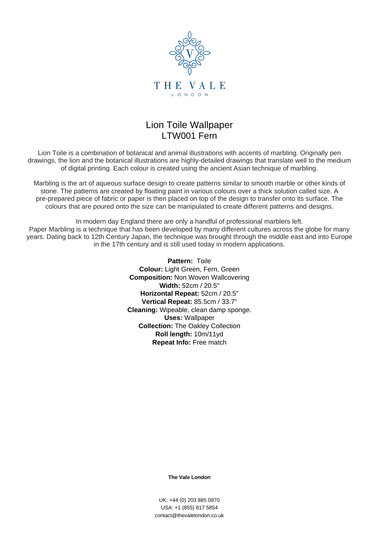

## Lion Toile Wallpaper LTW001 Fern

Lion Toile is a combination of botanical and animal illustrations with accents of marbling. Originally pen drawings, the lion and the botanical illustrations are highly-detailed drawings that translate well to the medium of digital printing. Each colour is created using the ancient Asian technique of marbling.

Marbling is the art of aqueous surface design to create patterns similar to smooth marble or other kinds of stone. The patterns are created by floating paint in various colours over a thick solution called size. A pre-prepared piece of fabric or paper is then placed on top of the design to transfer onto its surface. The colours that are poured onto the size can be manipulated to create different patterns and designs.

In modern day England there are only a handful of professional marblers left. Paper Marbling is a technique that has been developed by many different cultures across the globe for many years. Dating back to 12th Century Japan, the technique was brought through the middle east and into Europe in the 17th century and is still used today in modern applications.

> **Pattern:** Toile **Colour:** Light Green, Fern, Green **Composition:** Non Woven Wallcovering **Width:** 52cm / 20.5" **Horizontal Repeat:** 52cm / 20.5" **Vertical Repeat:** 85.5cm / 33.7" **Cleaning:** Wipeable, clean damp sponge. **Uses:** Wallpaper **Collection:** The Oakley Collection **Roll length:** 10m/11yd **Repeat Info:** Free match

> > **The Vale London**

UK: +44 (0) 203 885 0870 USA: +1 (855) 817 5854 contact@thevalelondon.co.uk